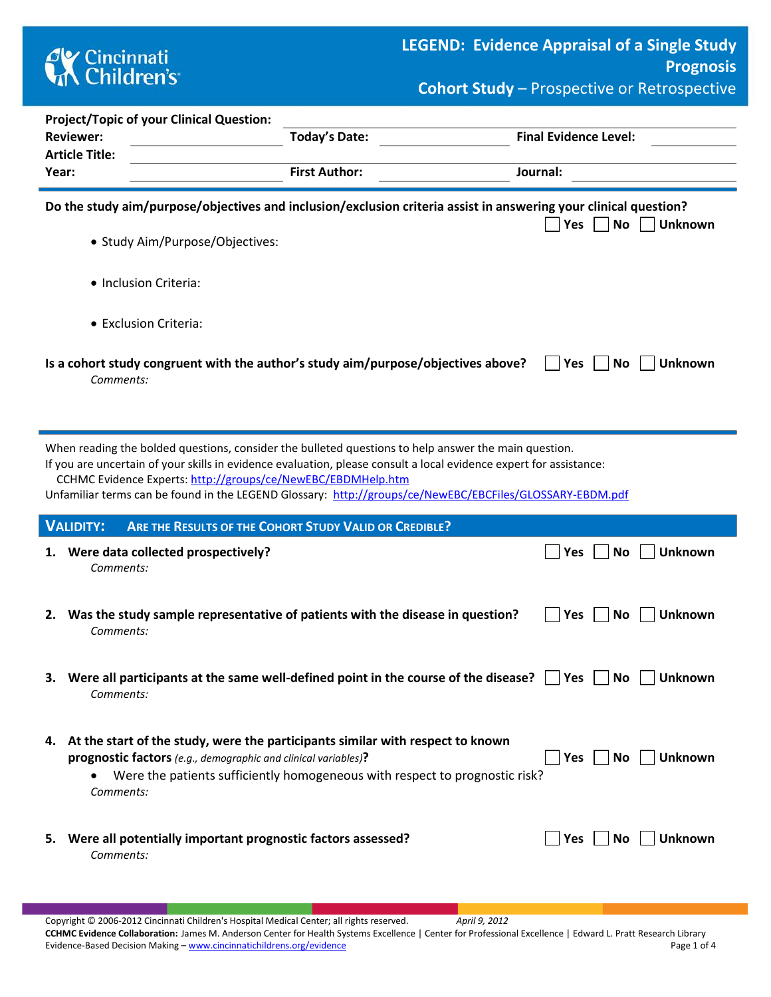

|  | <b>Cohort Study</b> - Prospective or Retrospective |  |
|--|----------------------------------------------------|--|
|--|----------------------------------------------------|--|

|       | <b>Project/Topic of your Clinical Question:</b>                             |                                                                                                                                                                                                                                                                                                                                        |                                    |
|-------|-----------------------------------------------------------------------------|----------------------------------------------------------------------------------------------------------------------------------------------------------------------------------------------------------------------------------------------------------------------------------------------------------------------------------------|------------------------------------|
|       | <b>Reviewer:</b>                                                            | Today's Date:                                                                                                                                                                                                                                                                                                                          | <b>Final Evidence Level:</b>       |
|       | <b>Article Title:</b>                                                       |                                                                                                                                                                                                                                                                                                                                        |                                    |
| Year: |                                                                             | <b>First Author:</b>                                                                                                                                                                                                                                                                                                                   | Journal:                           |
|       | • Study Aim/Purpose/Objectives:                                             | Do the study aim/purpose/objectives and inclusion/exclusion criteria assist in answering your clinical question?                                                                                                                                                                                                                       | <b>No</b><br>Yes<br><b>Unknown</b> |
|       |                                                                             |                                                                                                                                                                                                                                                                                                                                        |                                    |
|       | · Inclusion Criteria:                                                       |                                                                                                                                                                                                                                                                                                                                        |                                    |
|       | • Exclusion Criteria:                                                       |                                                                                                                                                                                                                                                                                                                                        |                                    |
|       | Comments:                                                                   | Is a cohort study congruent with the author's study aim/purpose/objectives above?                                                                                                                                                                                                                                                      | No<br><b>Unknown</b><br><b>Yes</b> |
|       | CCHMC Evidence Experts: http://groups/ce/NewEBC/EBDMHelp.htm                | When reading the bolded questions, consider the bulleted questions to help answer the main question.<br>If you are uncertain of your skills in evidence evaluation, please consult a local evidence expert for assistance:<br>Unfamiliar terms can be found in the LEGEND Glossary: http://groups/ce/NewEBC/EBCFiles/GLOSSARY-EBDM.pdf |                                    |
|       | <b>VALIDITY:</b>                                                            | ARE THE RESULTS OF THE COHORT STUDY VALID OR CREDIBLE?                                                                                                                                                                                                                                                                                 |                                    |
|       | 1. Were data collected prospectively?<br>Comments:                          |                                                                                                                                                                                                                                                                                                                                        | <b>Unknown</b><br><b>No</b><br>Yes |
| 2.    | Comments:                                                                   | Was the study sample representative of patients with the disease in question?                                                                                                                                                                                                                                                          | <b>Unknown</b><br>Yes<br><b>No</b> |
|       | Comments:                                                                   | Were all participants at the same well-defined point in the course of the disease? $\Box$ Yes $\Box$ No $\Box$ Unknown                                                                                                                                                                                                                 |                                    |
|       | prognostic factors (e.g., demographic and clinical variables)?<br>Comments: | 4. At the start of the study, were the participants similar with respect to known<br>Were the patients sufficiently homogeneous with respect to prognostic risk?                                                                                                                                                                       | <b>Unknown</b><br>Yes<br>No        |
| 5.    | Were all potentially important prognostic factors assessed?<br>Comments:    |                                                                                                                                                                                                                                                                                                                                        | Unknown<br>Yes<br>No.              |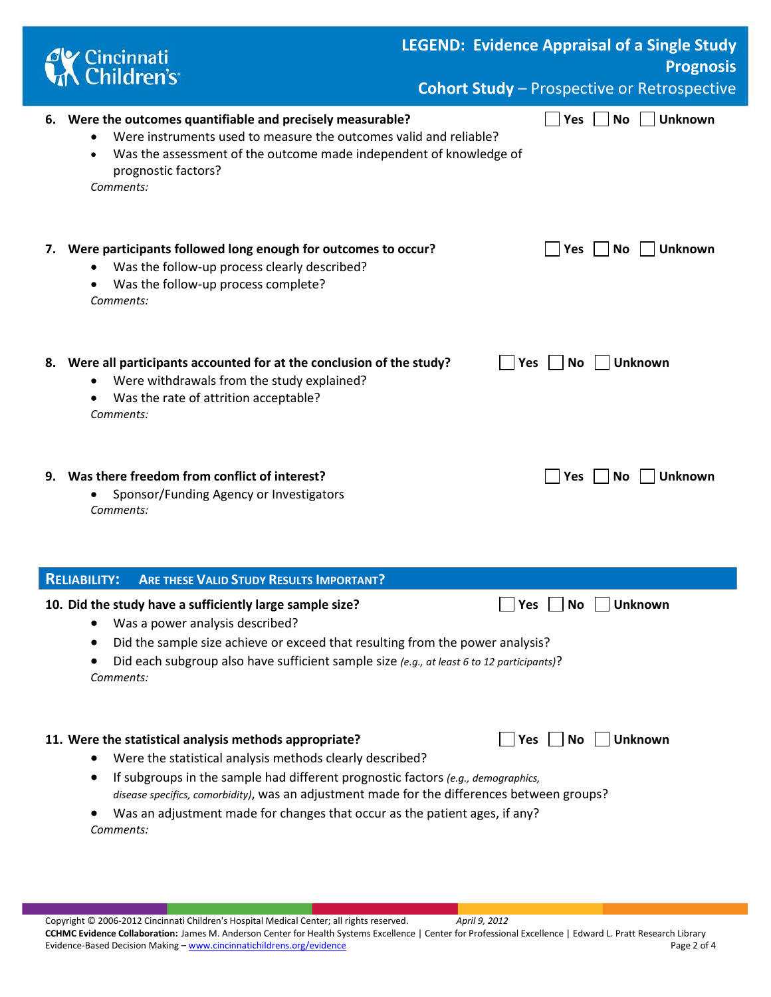|    | Cincinnati<br>K Children's                                                                                                                                                                                                                                                                                                                                                                       |            |           |     | <b>LEGEND: Evidence Appraisal of a Single Study</b><br><b>Prognosis</b><br><b>Cohort Study - Prospective or Retrospective</b> |
|----|--------------------------------------------------------------------------------------------------------------------------------------------------------------------------------------------------------------------------------------------------------------------------------------------------------------------------------------------------------------------------------------------------|------------|-----------|-----|-------------------------------------------------------------------------------------------------------------------------------|
|    | 6. Were the outcomes quantifiable and precisely measurable?<br>Were instruments used to measure the outcomes valid and reliable?<br>Was the assessment of the outcome made independent of knowledge of<br>prognostic factors?<br>Comments:                                                                                                                                                       |            | Yes       | No  | <b>Unknown</b>                                                                                                                |
| 7. | Were participants followed long enough for outcomes to occur?<br>Was the follow-up process clearly described?<br>Was the follow-up process complete?<br>Comments:                                                                                                                                                                                                                                |            | Yes       | No. | <b>Unknown</b>                                                                                                                |
|    | 8. Were all participants accounted for at the conclusion of the study?<br>Were withdrawals from the study explained?<br>٠<br>Was the rate of attrition acceptable?<br>$\bullet$<br>Comments:                                                                                                                                                                                                     | <b>Yes</b> | <b>No</b> |     | Unknown                                                                                                                       |
|    | 9. Was there freedom from conflict of interest?<br>Sponsor/Funding Agency or Investigators<br>Comments:                                                                                                                                                                                                                                                                                          |            | Yes       | No. | <b>Unknown</b>                                                                                                                |
|    | <b>ARE THESE VALID STUDY RESULTS IMPORTANT?</b><br><b>RELIABILITY:</b>                                                                                                                                                                                                                                                                                                                           |            |           |     |                                                                                                                               |
|    | 10. Did the study have a sufficiently large sample size?<br>Was a power analysis described?<br>Did the sample size achieve or exceed that resulting from the power analysis?<br>Did each subgroup also have sufficient sample size (e.g., at least 6 to 12 participants)?<br>Comments:                                                                                                           | Yes        | No        |     | <b>Unknown</b>                                                                                                                |
|    | 11. Were the statistical analysis methods appropriate?<br>Were the statistical analysis methods clearly described?<br>If subgroups in the sample had different prognostic factors (e.g., demographics,<br>disease specifics, comorbidity), was an adjustment made for the differences between groups?<br>Was an adjustment made for changes that occur as the patient ages, if any?<br>Comments: | <b>Yes</b> | No        |     | <b>Unknown</b>                                                                                                                |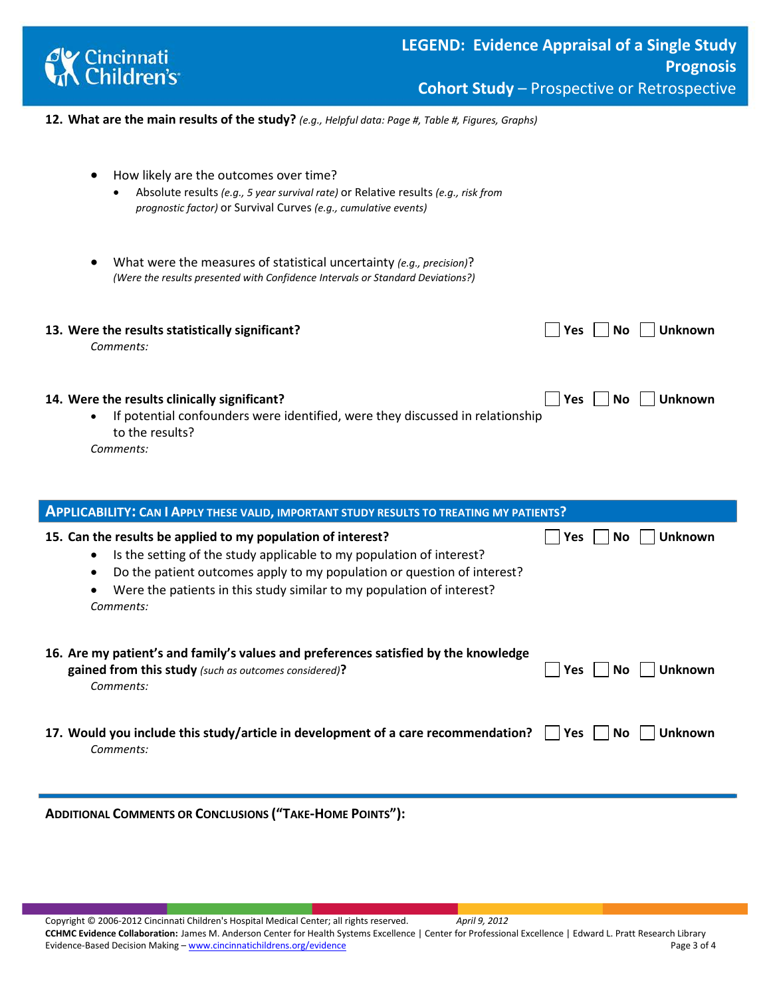

**12. What are the main results of the study?** *(e.g., Helpful data: Page #, Table #, Figures, Graphs)*

| How likely are the outcomes over time?<br>Absolute results (e.g., 5 year survival rate) or Relative results (e.g., risk from<br>$\bullet$<br>prognostic factor) or Survival Curves (e.g., cumulative events) |
|--------------------------------------------------------------------------------------------------------------------------------------------------------------------------------------------------------------|
| What were the measures of statistical uncertainty (e.g., precision)?<br>(Were the results presented with Confidence Intervals or Standard Deviations?)                                                       |
| 13. Were the results statistically significant?<br><b>Unknown</b><br><b>Yes</b><br>No.<br>Comments:                                                                                                          |
| 14. Were the results clinically significant?<br><b>Unknown</b><br><b>Yes</b><br>No<br>If potential confounders were identified, were they discussed in relationship<br>to the results?<br>Comments:          |
| <b>APPLICABILITY: CAN I APPLY THESE VALID, IMPORTANT STUDY RESULTS TO TREATING MY PATIENTS?</b>                                                                                                              |
| 15. Can the results be applied to my population of interest?<br>Unknown<br>Yes<br>No<br>Is the setting of the study applicable to my population of interest?                                                 |

|           | is the setting of the staat applicable to hit population of interest.                                                                        |                                     |
|-----------|----------------------------------------------------------------------------------------------------------------------------------------------|-------------------------------------|
| $\bullet$ | Do the patient outcomes apply to my population or question of interest?                                                                      |                                     |
| $\bullet$ | Were the patients in this study similar to my population of interest?                                                                        |                                     |
|           | Comments:                                                                                                                                    |                                     |
|           | 16. Are my patient's and family's values and preferences satisfied by the knowledge<br>gained from this study (such as outcomes considered)? | <b>Unknown</b><br>No.<br><b>Yes</b> |
|           | Comments:                                                                                                                                    |                                     |
|           |                                                                                                                                              |                                     |

**17.** Would you include this study/article in development of a care recommendation?  $\Box$  Yes  $\Box$  No  $\Box$  Unknown *Comments:* 

**ADDITIONAL COMMENTS OR CONCLUSIONS ("TAKE-HOME POINTS"):**